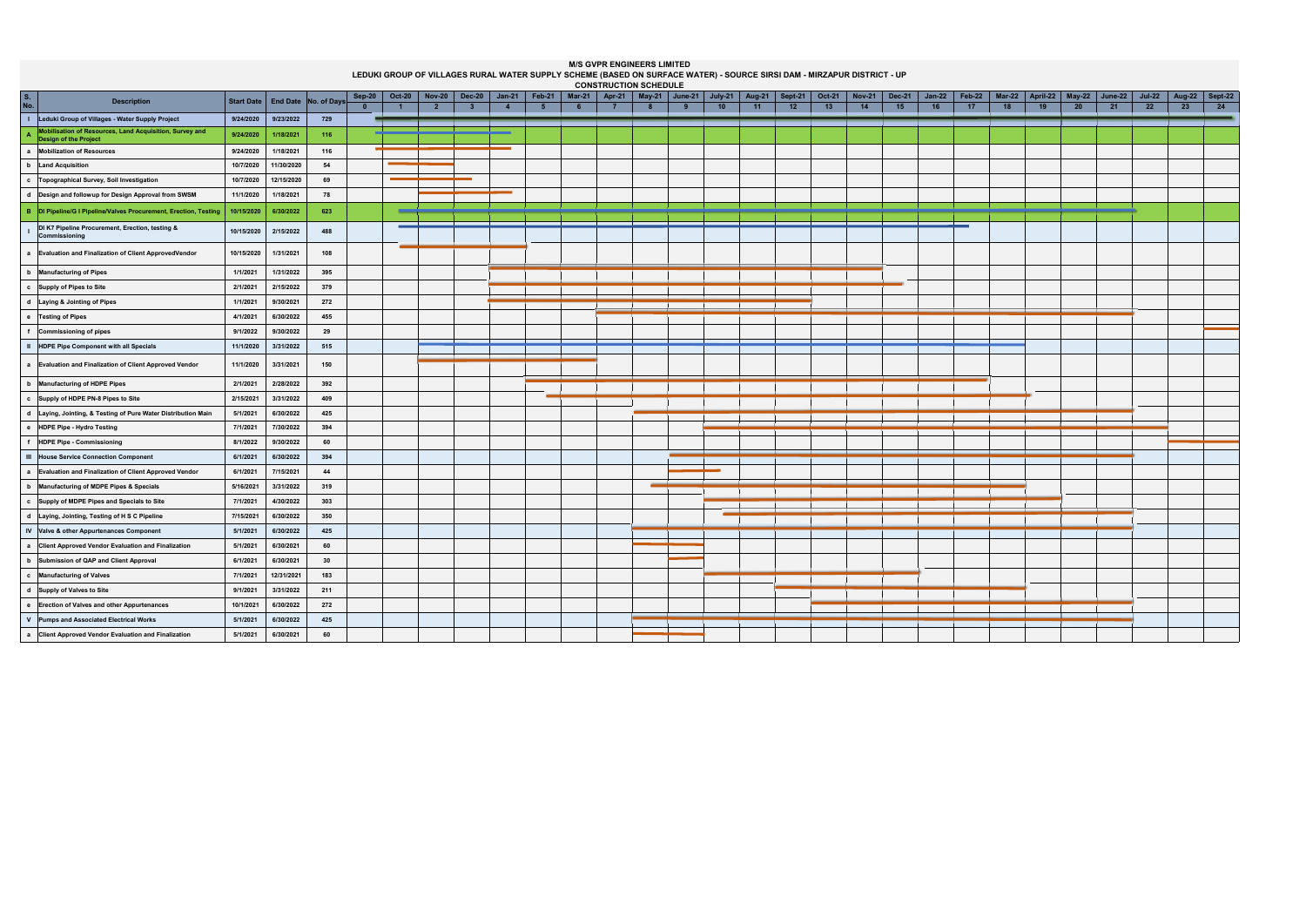| <b>CONSTRUCTION SCHEDULE</b><br>May-21 $\vert$ June-21 $\vert$ July-21<br>April-22   May-22   June-22        |            |                      |     |              |                |                |                |                |                |          |                |  |                 |                    |                     |        |               |        |          |        |                    |    |    |    |               |                  |    |
|--------------------------------------------------------------------------------------------------------------|------------|----------------------|-----|--------------|----------------|----------------|----------------|----------------|----------------|----------|----------------|--|-----------------|--------------------|---------------------|--------|---------------|--------|----------|--------|--------------------|----|----|----|---------------|------------------|----|
| $S_{1}$<br><b>Description</b>                                                                                | Start Date | End Date No. of Days |     | Sep-20       | <b>Oct-20</b>  | <b>Nov-20</b>  | <b>Dec-20</b>  | $Jan-21$       | $\vert$ Feb-21 | $Mar-21$ | Apr-21 $\vert$ |  |                 | Aug-21 $\parallel$ | Sept-21 $\parallel$ | Oct-21 | <b>Nov-21</b> | Dec-21 | $Jan-22$ | Feb-22 | Mar-22 $\parallel$ |    |    |    | <b>Jul-22</b> | Aug-22   Sept-22 |    |
| No.                                                                                                          |            |                      |     | $\mathbf{0}$ | $\overline{1}$ | $\overline{2}$ | $\overline{3}$ | $\overline{4}$ | -5             | 6        |                |  | 10 <sup>1</sup> | 11                 | 12                  | 13     | 14            | 15     | 16       | 17     | 18                 | 19 | 20 | 21 | 22            | 23               | 24 |
| I Leduki Group of Villages - Water Supply Project<br>Mobilisation of Resources, Land Acquisition, Survey and | 9/24/2020  | 9/23/2022            | 729 |              |                |                |                |                |                |          |                |  |                 |                    |                     |        |               |        |          |        |                    |    |    |    |               |                  |    |
| $\mathbf{A}$<br>Design of the Project                                                                        | 9/24/2020  | 1/18/2021            | 116 |              |                |                |                |                |                |          |                |  |                 |                    |                     |        |               |        |          |        |                    |    |    |    |               |                  |    |
| a Mobilization of Resources                                                                                  | 9/24/2020  | 1/18/2021            | 116 |              |                |                |                |                |                |          |                |  |                 |                    |                     |        |               |        |          |        |                    |    |    |    |               |                  |    |
| b Land Acquisition                                                                                           | 10/7/2020  | 11/30/2020           | 54  |              |                |                |                |                |                |          |                |  |                 |                    |                     |        |               |        |          |        |                    |    |    |    |               |                  |    |
| c Topographical Survey, Soil Investigation                                                                   | 10/7/2020  | 12/15/2020           | 69  |              |                |                |                |                |                |          |                |  |                 |                    |                     |        |               |        |          |        |                    |    |    |    |               |                  |    |
| d Design and followup for Design Approval from SWSM                                                          | 11/1/2020  | 1/18/2021            | 78  |              |                |                |                |                |                |          |                |  |                 |                    |                     |        |               |        |          |        |                    |    |    |    |               |                  |    |
| B  DI Pipeline/G I Pipeline/Valves Procurement, Erection, Testing                                            | 10/15/2020 | 6/30/2022            | 623 |              |                |                |                |                |                |          |                |  |                 |                    |                     |        |               |        |          |        |                    |    |    |    |               |                  |    |
| DI K7 Pipeline Procurement, Erection, testing &<br>Commissioning                                             | 10/15/2020 | 2/15/2022            | 488 |              |                |                |                |                |                |          |                |  |                 |                    |                     |        |               |        |          |        |                    |    |    |    |               |                  |    |
| a Evaluation and Finalization of Client ApprovedVendor                                                       | 10/15/2020 | 1/31/2021            | 108 |              |                |                |                |                |                |          |                |  |                 |                    |                     |        |               |        |          |        |                    |    |    |    |               |                  |    |
| b Manufacturing of Pipes                                                                                     | 1/1/2021   | 1/31/2022            | 395 |              |                |                |                |                |                |          |                |  |                 |                    |                     |        |               |        |          |        |                    |    |    |    |               |                  |    |
| c Supply of Pipes to Site                                                                                    | 2/1/2021   | 2/15/2022            | 379 |              |                |                |                |                |                |          |                |  |                 |                    |                     |        |               |        |          |        |                    |    |    |    |               |                  |    |
| d Laying & Jointing of Pipes                                                                                 | 1/1/2021   | 9/30/2021            | 272 |              |                |                |                |                |                |          |                |  |                 |                    |                     |        |               |        |          |        |                    |    |    |    |               |                  |    |
| e Testing of Pipes                                                                                           | 4/1/2021   | 6/30/2022            | 455 |              |                |                |                |                |                |          |                |  |                 |                    |                     |        |               |        |          |        |                    |    |    |    |               |                  |    |
| f Commissioning of pipes                                                                                     | 9/1/2022   | 9/30/2022            | 29  |              |                |                |                |                |                |          |                |  |                 |                    |                     |        |               |        |          |        |                    |    |    |    |               |                  |    |
| II HDPE Pipe Component with all Specials                                                                     | 11/1/2020  | 3/31/2022            | 515 |              |                |                |                |                |                |          |                |  |                 |                    |                     |        |               |        |          |        |                    |    |    |    |               |                  |    |
| a Evaluation and Finalization of Client Approved Vendor                                                      | 11/1/2020  | 3/31/2021            | 150 |              |                |                |                |                |                |          |                |  |                 |                    |                     |        |               |        |          |        |                    |    |    |    |               |                  |    |
| b Manufacturing of HDPE Pipes                                                                                | 2/1/2021   | 2/28/2022            | 392 |              |                |                |                |                |                |          |                |  |                 |                    |                     |        |               |        |          |        |                    |    |    |    |               |                  |    |
| c Supply of HDPE PN-8 Pipes to Site                                                                          | 2/15/2021  | 3/31/2022            | 409 |              |                |                |                |                |                |          |                |  |                 |                    |                     |        |               |        |          |        |                    |    |    |    |               |                  |    |
| d Laying, Jointing, & Testing of Pure Water Distribution Main                                                | 5/1/2021   | 6/30/2022            | 425 |              |                |                |                |                |                |          |                |  |                 |                    |                     |        |               |        |          |        |                    |    |    |    |               |                  |    |
| e HDPE Pipe - Hydro Testing                                                                                  | 7/1/2021   | 7/30/2022            | 394 |              |                |                |                |                |                |          |                |  |                 |                    |                     |        |               |        |          |        |                    |    |    |    |               |                  |    |
| f HDPE Pipe - Commissioning                                                                                  | 8/1/2022   | 9/30/2022            | 60  |              |                |                |                |                |                |          |                |  |                 |                    |                     |        |               |        |          |        |                    |    |    |    |               |                  |    |
| III House Service Connection Component                                                                       | 6/1/2021   | 6/30/2022            | 394 |              |                |                |                |                |                |          |                |  |                 |                    |                     |        |               |        |          |        |                    |    |    |    |               |                  |    |
| a Evaluation and Finalization of Client Approved Vendor                                                      | 6/1/2021   | 7/15/2021            | 44  |              |                |                |                |                |                |          |                |  |                 |                    |                     |        |               |        |          |        |                    |    |    |    |               |                  |    |
| b Manufacturing of MDPE Pipes & Specials                                                                     | 5/16/2021  | 3/31/2022            | 319 |              |                |                |                |                |                |          |                |  |                 |                    |                     |        |               |        |          |        |                    |    |    |    |               |                  |    |
| c Supply of MDPE Pipes and Specials to Site                                                                  | 7/1/2021   | 4/30/2022            | 303 |              |                |                |                |                |                |          |                |  |                 |                    |                     |        |               |        |          |        |                    |    |    |    |               |                  |    |
| d   Laying, Jointing, Testing of H S C Pipeline                                                              | 7/15/2021  | 6/30/2022            | 350 |              |                |                |                |                |                |          |                |  |                 |                    |                     |        |               |        |          |        |                    |    |    |    |               |                  |    |
| IV Valve & other Appurtenances Component                                                                     | 5/1/2021   | 6/30/2022            | 425 |              |                |                |                |                |                |          |                |  |                 |                    |                     |        |               |        |          |        |                    |    |    |    |               |                  |    |
| a Client Approved Vendor Evaluation and Finalization                                                         | 5/1/2021   | 6/30/2021            | 60  |              |                |                |                |                |                |          |                |  |                 |                    |                     |        |               |        |          |        |                    |    |    |    |               |                  |    |
| b Submission of QAP and Client Approval                                                                      | 6/1/2021   | 6/30/2021            | 30  |              |                |                |                |                |                |          |                |  |                 |                    |                     |        |               |        |          |        |                    |    |    |    |               |                  |    |
| c Manufacturing of Valves                                                                                    | 7/1/2021   | 12/31/2021           | 183 |              |                |                |                |                |                |          |                |  |                 |                    |                     |        |               |        |          |        |                    |    |    |    |               |                  |    |
| d Supply of Valves to Site                                                                                   | 9/1/2021   | 3/31/2022            | 211 |              |                |                |                |                |                |          |                |  |                 |                    |                     |        |               |        |          |        |                    |    |    |    |               |                  |    |
| e Erection of Valves and other Appurtenances                                                                 | 10/1/2021  | 6/30/2022            | 272 |              |                |                |                |                |                |          |                |  |                 |                    |                     |        |               |        |          |        |                    |    |    |    |               |                  |    |
| V Pumps and Associated Electrical Works                                                                      | 5/1/2021   | 6/30/2022            | 425 |              |                |                |                |                |                |          |                |  |                 |                    |                     |        |               |        |          |        |                    |    |    |    |               |                  |    |
| a Client Approved Vendor Evaluation and Finalization                                                         | 5/1/2021   | 6/30/2021            | 60  |              |                |                |                |                |                |          |                |  |                 |                    |                     |        |               |        |          |        |                    |    |    |    |               |                  |    |

## **M/S GVPR ENGINEERS LIMITED**

**LEDUKI GROUP OF VILLAGES RURAL WATER SUPPLY SCHEME (BASED ON SURFACE WATER) - SOURCE SIRSI DAM - MIRZAPUR DISTRICT - UP**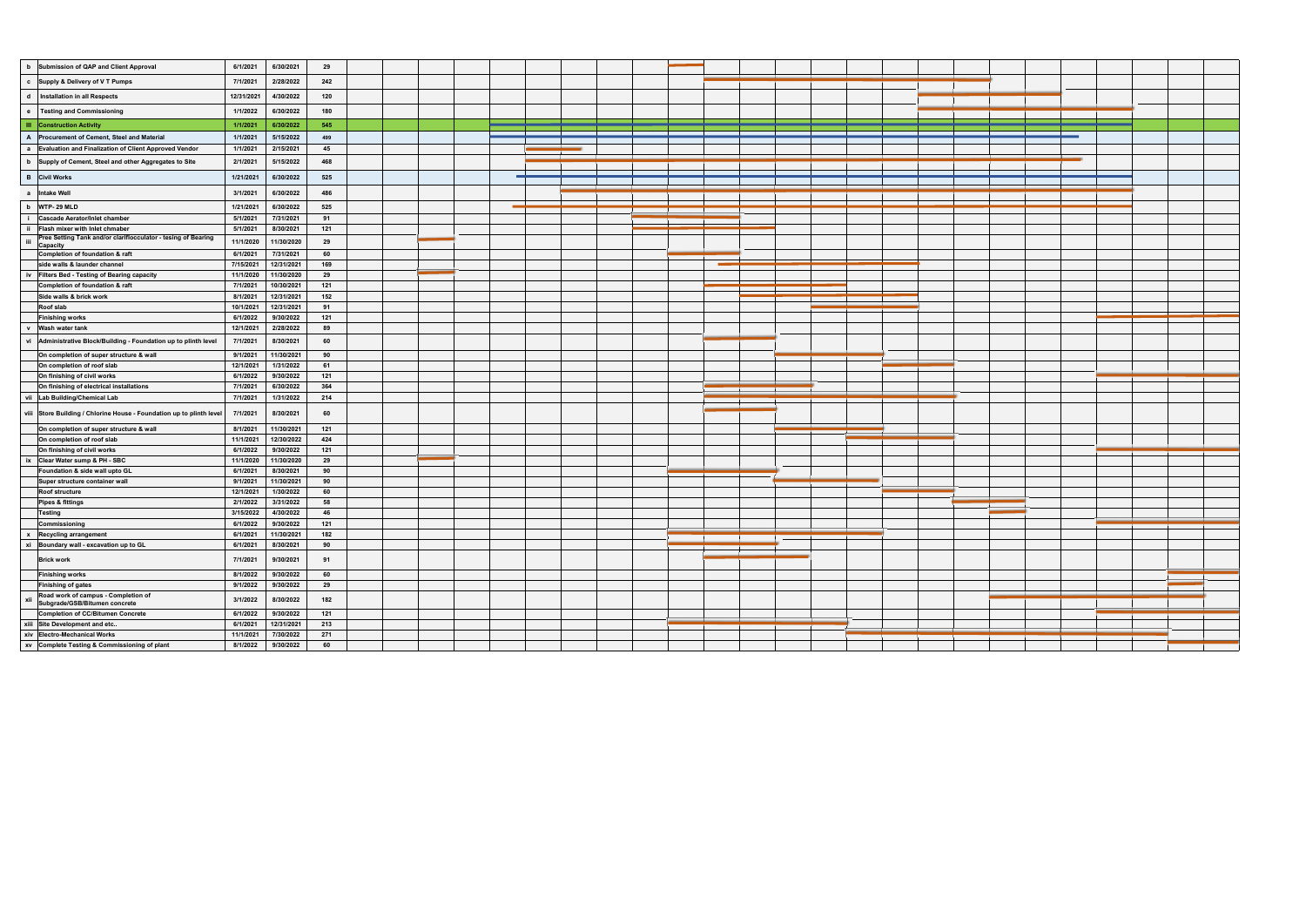| b Submission of QAP and Client Approval<br>c Supply & Delivery of VT Pumps<br>d   Installation in all Respects |                         |     |  |  |  |  |
|----------------------------------------------------------------------------------------------------------------|-------------------------|-----|--|--|--|--|
|                                                                                                                | 6/1/2021<br>6/30/2021   | 29  |  |  |  |  |
|                                                                                                                | 2/28/2022<br>7/1/2021   | 242 |  |  |  |  |
|                                                                                                                | 12/31/2021<br>4/30/2022 | 120 |  |  |  |  |
| <b>Testing and Commissioning</b><br>$\bullet$                                                                  | 6/30/2022<br>1/1/2022   | 180 |  |  |  |  |
| <b>III</b> Construction Activity                                                                               | 6/30/2022<br>1/1/2021   | 545 |  |  |  |  |
| A Procurement of Cement, Steel and Material                                                                    | 1/1/2021<br>5/15/2022   | 499 |  |  |  |  |
| a Evaluation and Finalization of Client Approved Vendor                                                        | 1/1/2021<br>2/15/2021   | 45  |  |  |  |  |
|                                                                                                                | 5/15/2022<br>2/1/2021   | 468 |  |  |  |  |
| b Supply of Cement, Steel and other Aggregates to Site                                                         |                         |     |  |  |  |  |
| <b>B</b> Civil Works                                                                                           | 1/21/2021<br>6/30/2022  | 525 |  |  |  |  |
| a Intake Well                                                                                                  | 3/1/2021<br>6/30/2022   | 486 |  |  |  |  |
| b WTP-29 MLD                                                                                                   | 6/30/2022<br>1/21/2021  | 525 |  |  |  |  |
| <b>Cascade Aerator/Inlet chamber</b><br>-i -                                                                   | 7/31/2021<br>5/1/2021   | 91  |  |  |  |  |
| ii Flash mixer with Inlet chmaber                                                                              | 5/1/2021<br>8/30/2021   | 121 |  |  |  |  |
| Pree Setting Tank and/or clariflocculator - tesing of Bearing<br>iii<br>Capacity                               | 11/30/2020<br>11/1/2020 | 29  |  |  |  |  |
| Completion of foundation & raft                                                                                | 6/1/2021<br>7/31/2021   | 60  |  |  |  |  |
| side walls & launder channel                                                                                   | 12/31/2021<br>7/15/2021 | 169 |  |  |  |  |
| iv Filters Bed - Testing of Bearing capacity                                                                   | 11/1/2020<br>11/30/2020 | 29  |  |  |  |  |
| Completion of foundation & raft                                                                                | 10/30/2021<br>7/1/2021  | 121 |  |  |  |  |
| Side walls & brick work                                                                                        | 8/1/2021<br>12/31/2021  | 152 |  |  |  |  |
| Roof slab                                                                                                      | 12/31/2021<br>10/1/2021 | 91  |  |  |  |  |
| <b>Finishing works</b>                                                                                         | 6/1/2022<br>9/30/2022   | 121 |  |  |  |  |
| v Wash water tank                                                                                              | 2/28/2022<br>12/1/2021  | 89  |  |  |  |  |
| vi<br>Administrative Block/Building - Foundation up to plinth level                                            | 8/30/2021<br>7/1/2021   | 60  |  |  |  |  |
| On completion of super structure & wall                                                                        | 11/30/2021<br>9/1/2021  | 90  |  |  |  |  |
| On completion of roof slab                                                                                     | 12/1/2021<br>1/31/2022  | 61  |  |  |  |  |
| On finishing of civil works                                                                                    | 6/1/2022<br>9/30/2022   | 121 |  |  |  |  |
| On finishing of electrical installations                                                                       | 6/30/2022<br>7/1/2021   | 364 |  |  |  |  |
| vii Lab Building/Chemical Lab                                                                                  | 7/1/2021<br>1/31/2022   | 214 |  |  |  |  |
| viii Store Building / Chlorine House - Foundation up to plinth level                                           | 8/30/2021<br>7/1/2021   | 60  |  |  |  |  |
| On completion of super structure & wall                                                                        | 11/30/2021<br>8/1/2021  | 121 |  |  |  |  |
| On completion of roof slab                                                                                     | 12/30/2022<br>11/1/2021 | 424 |  |  |  |  |
| On finishing of civil works                                                                                    | 6/1/2022<br>9/30/2022   | 121 |  |  |  |  |
| ix Clear Water sump & PH - SBC                                                                                 | 11/1/2020<br>11/30/2020 | 29  |  |  |  |  |
| Foundation & side wall upto GL                                                                                 | 6/1/2021<br>8/30/2021   | 90  |  |  |  |  |
| Super structure container wall                                                                                 | 11/30/2021<br>9/1/2021  | 90  |  |  |  |  |
| <b>Roof structure</b>                                                                                          | 1/30/2022<br>12/1/2021  | 60  |  |  |  |  |
| <b>Pipes &amp; fittings</b>                                                                                    | 2/1/2022<br>3/31/2022   | 58  |  |  |  |  |
| <b>Testing</b>                                                                                                 | 4/30/2022<br>3/15/2022  | 46  |  |  |  |  |
| Commissioning                                                                                                  | 6/1/2022<br>9/30/2022   | 121 |  |  |  |  |
| x Recycling arrangement                                                                                        | 11/30/2021<br>6/1/2021  | 182 |  |  |  |  |
|                                                                                                                | 8/30/2021<br>6/1/2021   | 90  |  |  |  |  |
| xi Boundary wall - excavation up to GL                                                                         | 7/1/2021<br>9/30/2021   | 91  |  |  |  |  |
| <b>Brick work</b>                                                                                              |                         |     |  |  |  |  |
| <b>Finishing works</b>                                                                                         | 8/1/2022<br>9/30/2022   | 60  |  |  |  |  |
| <b>Finishing of gates</b>                                                                                      | 9/30/2022<br>9/1/2022   | 29  |  |  |  |  |
| Road work of campus - Completion of<br>xii<br>Subgrade/GSB/Bitumen concrete                                    | 3/1/2022<br>8/30/2022   | 182 |  |  |  |  |
| Completion of CC/Bitumen Concrete                                                                              | 9/30/2022<br>6/1/2022   | 121 |  |  |  |  |
| xiii Site Development and etc                                                                                  | 12/31/2021<br>6/1/2021  | 213 |  |  |  |  |
| xiv Electro-Mechanical Works                                                                                   | 11/1/2021<br>7/30/2022  | 271 |  |  |  |  |